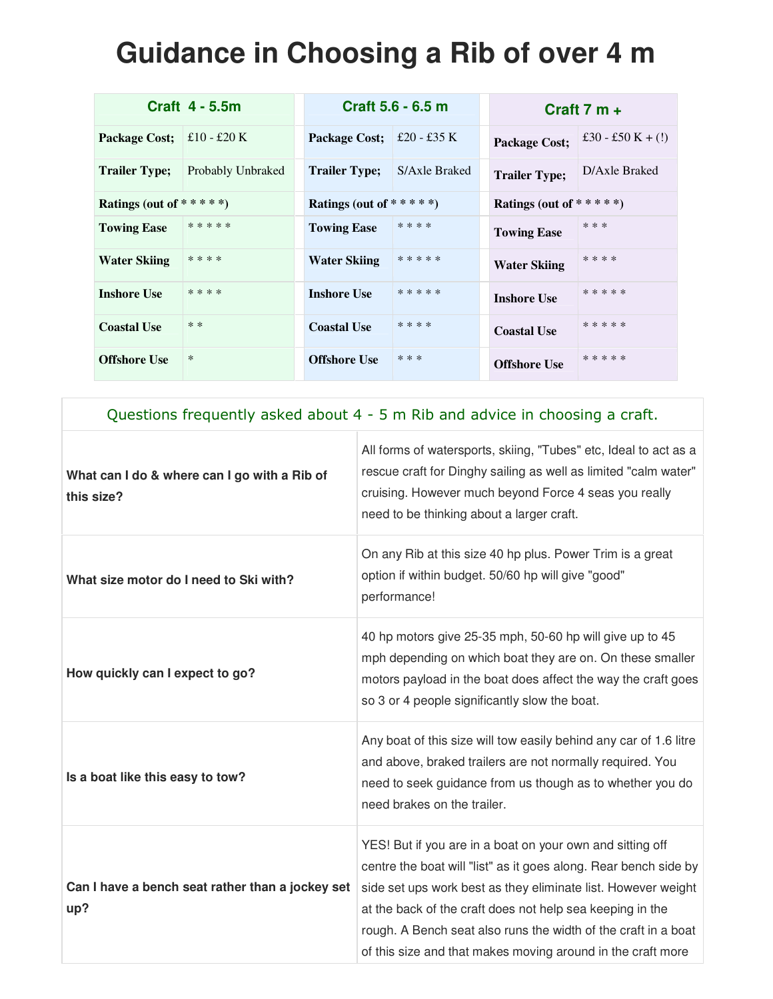## **Guidance in Choosing a Rib of over 4 m**

|                            | Craft 4 - 5.5m    |                            | Craft 5.6 - 6.5 m |                            | Craft $7 m +$       |
|----------------------------|-------------------|----------------------------|-------------------|----------------------------|---------------------|
| Package Cost;              | $£10 - £20 K$     | <b>Package Cost;</b>       | $\pm 20$ - £35 K  | Package Cost;              | £30 - £50 K + $(!)$ |
| <b>Trailer Type;</b>       | Probably Unbraked | <b>Trailer Type;</b>       | S/Axle Braked     | <b>Trailer Type;</b>       | D/Axle Braked       |
| Ratings (out of * * * * *) |                   | Ratings (out of * * * * *) |                   | Ratings (out of * * * * *) |                     |
| <b>Towing Ease</b>         | *****             | <b>Towing Ease</b>         | * * * *           | <b>Towing Ease</b>         | ***                 |
| <b>Water Skiing</b>        | * * * *           | <b>Water Skiing</b>        | * * * * *         | <b>Water Skiing</b>        | ****                |
| <b>Inshore Use</b>         | * * * *           | <b>Inshore Use</b>         | *****             | <b>Inshore Use</b>         | *****               |
| <b>Coastal Use</b>         | * *               | <b>Coastal Use</b>         | * * * *           | <b>Coastal Use</b>         | *****               |
| <b>Offshore Use</b>        | $\ast$            | <b>Offshore Use</b>        | * * *             | <b>Offshore Use</b>        | * * * * *           |

| Questions frequently asked about 4 - 5 m Rib and advice in choosing a craft. |  |
|------------------------------------------------------------------------------|--|
|------------------------------------------------------------------------------|--|

| What can I do & where can I go with a Rib of<br>this size? | All forms of watersports, skiing, "Tubes" etc, Ideal to act as a<br>rescue craft for Dinghy sailing as well as limited "calm water"<br>cruising. However much beyond Force 4 seas you really<br>need to be thinking about a larger craft.                                                                                                                                                    |
|------------------------------------------------------------|----------------------------------------------------------------------------------------------------------------------------------------------------------------------------------------------------------------------------------------------------------------------------------------------------------------------------------------------------------------------------------------------|
| What size motor do I need to Ski with?                     | On any Rib at this size 40 hp plus. Power Trim is a great<br>option if within budget. 50/60 hp will give "good"<br>performance!                                                                                                                                                                                                                                                              |
| How quickly can I expect to go?                            | 40 hp motors give 25-35 mph, 50-60 hp will give up to 45<br>mph depending on which boat they are on. On these smaller<br>motors payload in the boat does affect the way the craft goes<br>so 3 or 4 people significantly slow the boat.                                                                                                                                                      |
| Is a boat like this easy to tow?                           | Any boat of this size will tow easily behind any car of 1.6 litre<br>and above, braked trailers are not normally required. You<br>need to seek guidance from us though as to whether you do<br>need brakes on the trailer.                                                                                                                                                                   |
| Can I have a bench seat rather than a jockey set<br>up?    | YES! But if you are in a boat on your own and sitting off<br>centre the boat will "list" as it goes along. Rear bench side by<br>side set ups work best as they eliminate list. However weight<br>at the back of the craft does not help sea keeping in the<br>rough. A Bench seat also runs the width of the craft in a boat<br>of this size and that makes moving around in the craft more |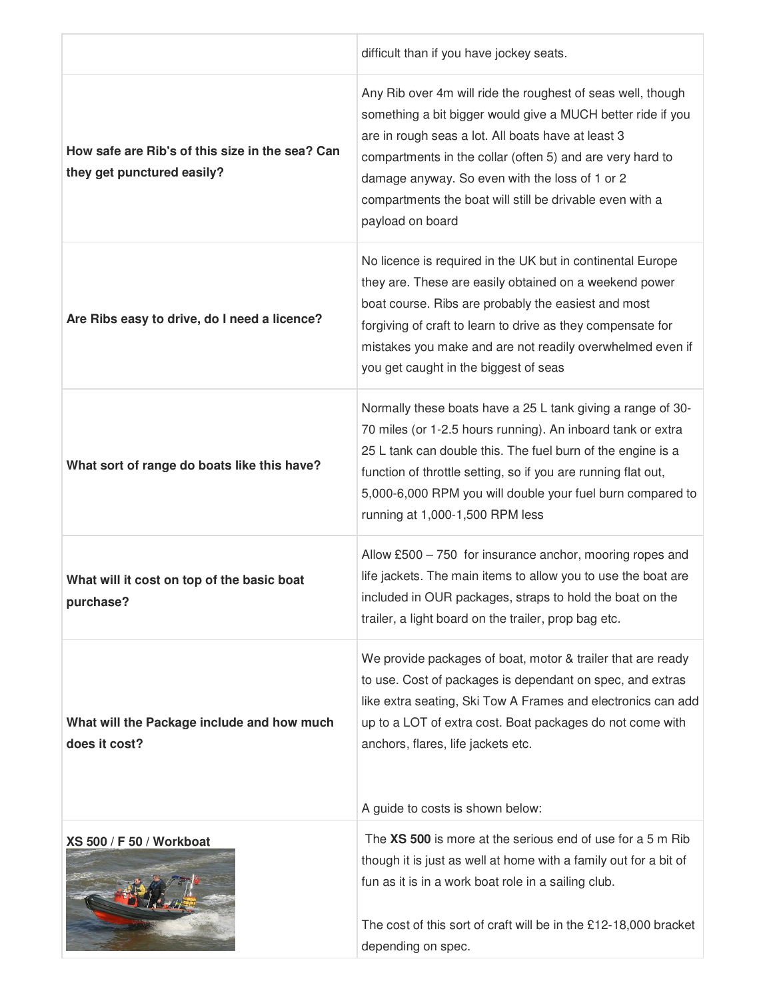|                                                                               | difficult than if you have jockey seats.                                                                                                                                                                                                                                                                                                                                        |
|-------------------------------------------------------------------------------|---------------------------------------------------------------------------------------------------------------------------------------------------------------------------------------------------------------------------------------------------------------------------------------------------------------------------------------------------------------------------------|
| How safe are Rib's of this size in the sea? Can<br>they get punctured easily? | Any Rib over 4m will ride the roughest of seas well, though<br>something a bit bigger would give a MUCH better ride if you<br>are in rough seas a lot. All boats have at least 3<br>compartments in the collar (often 5) and are very hard to<br>damage anyway. So even with the loss of 1 or 2<br>compartments the boat will still be drivable even with a<br>payload on board |
| Are Ribs easy to drive, do I need a licence?                                  | No licence is required in the UK but in continental Europe<br>they are. These are easily obtained on a weekend power<br>boat course. Ribs are probably the easiest and most<br>forgiving of craft to learn to drive as they compensate for<br>mistakes you make and are not readily overwhelmed even if<br>you get caught in the biggest of seas                                |
| What sort of range do boats like this have?                                   | Normally these boats have a 25 L tank giving a range of 30-<br>70 miles (or 1-2.5 hours running). An inboard tank or extra<br>25 L tank can double this. The fuel burn of the engine is a<br>function of throttle setting, so if you are running flat out,<br>5,000-6,000 RPM you will double your fuel burn compared to<br>running at 1,000-1,500 RPM less                     |
| What will it cost on top of the basic boat<br>purchase?                       | Allow £500 - 750 for insurance anchor, mooring ropes and<br>life jackets. The main items to allow you to use the boat are<br>included in OUR packages, straps to hold the boat on the<br>trailer, a light board on the trailer, prop bag etc.                                                                                                                                   |
| What will the Package include and how much<br>does it cost?                   | We provide packages of boat, motor & trailer that are ready<br>to use. Cost of packages is dependant on spec, and extras<br>like extra seating, Ski Tow A Frames and electronics can add<br>up to a LOT of extra cost. Boat packages do not come with<br>anchors, flares, life jackets etc.<br>A guide to costs is shown below:                                                 |
| XS 500 / F 50 / Workboat                                                      | The XS 500 is more at the serious end of use for a 5 m Rib<br>though it is just as well at home with a family out for a bit of<br>fun as it is in a work boat role in a sailing club.<br>The cost of this sort of craft will be in the £12-18,000 bracket<br>depending on spec.                                                                                                 |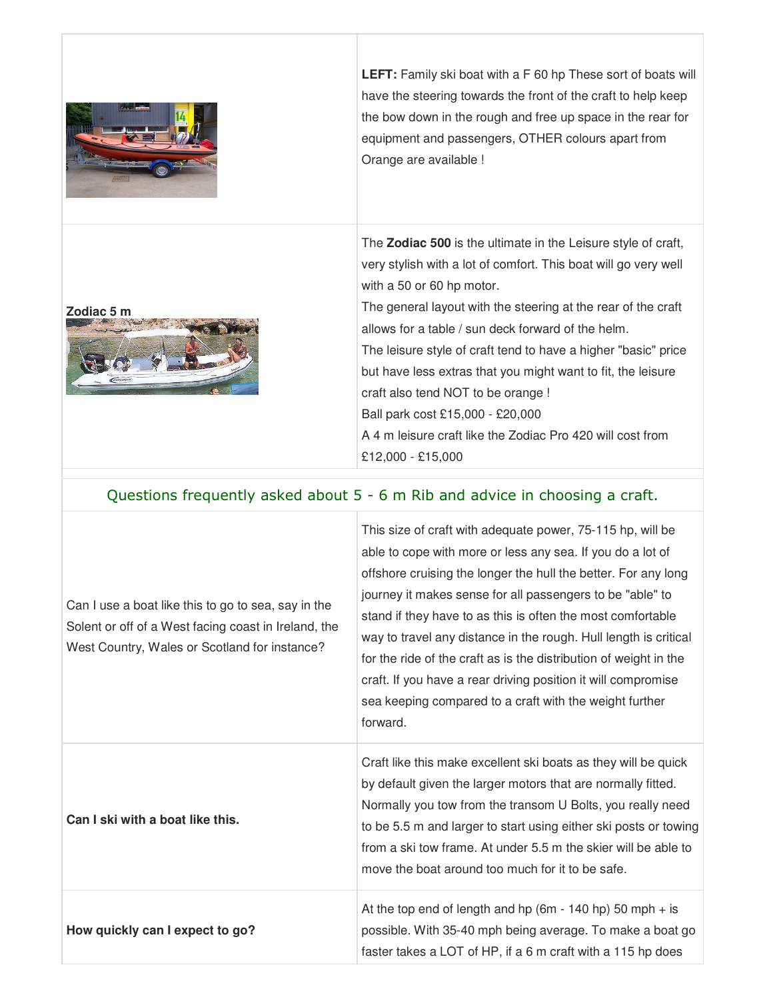

**LEFT:** Family ski boat with a F 60 hp These sort of boats will have the steering towards the front of the craft to help keep the bow down in the rough and free up space in the rear for equipment and passengers, OTHER colours apart from Orange are available !

The **Zodiac 500** is the ultimate in the Leisure style of craft, very stylish with a lot of comfort. This boat will go very well

with a 50 or 60 hp motor. The general layout with the steering at the rear of the craft allows for a table / sun deck forward of the helm. The leisure style of craft tend to have a higher "basic" price but have less extras that you might want to fit, the leisure craft also tend NOT to be orange ! Ball park cost £15,000 - £20,000 A 4 m leisure craft like the Zodiac Pro 420 will cost from

## Questions frequently asked about 5 - 6 m Rib and advice in choosing a craft.

£12,000 - £15,000

| Can I use a boat like this to go to sea, say in the<br>Solent or off of a West facing coast in Ireland, the<br>West Country, Wales or Scotland for instance? | This size of craft with adequate power, 75-115 hp, will be<br>able to cope with more or less any sea. If you do a lot of<br>offshore cruising the longer the hull the better. For any long<br>journey it makes sense for all passengers to be "able" to<br>stand if they have to as this is often the most comfortable<br>way to travel any distance in the rough. Hull length is critical<br>for the ride of the craft as is the distribution of weight in the<br>craft. If you have a rear driving position it will compromise<br>sea keeping compared to a craft with the weight further<br>forward. |
|--------------------------------------------------------------------------------------------------------------------------------------------------------------|---------------------------------------------------------------------------------------------------------------------------------------------------------------------------------------------------------------------------------------------------------------------------------------------------------------------------------------------------------------------------------------------------------------------------------------------------------------------------------------------------------------------------------------------------------------------------------------------------------|
| Can I ski with a boat like this.                                                                                                                             | Craft like this make excellent ski boats as they will be quick<br>by default given the larger motors that are normally fitted.<br>Normally you tow from the transom U Bolts, you really need<br>to be 5.5 m and larger to start using either ski posts or towing<br>from a ski tow frame. At under 5.5 m the skier will be able to<br>move the boat around too much for it to be safe.                                                                                                                                                                                                                  |
| How quickly can I expect to go?                                                                                                                              | At the top end of length and hp (6m - 140 hp) 50 mph $+$ is<br>possible. With 35-40 mph being average. To make a boat go<br>faster takes a LOT of HP, if a 6 m craft with a 115 hp does                                                                                                                                                                                                                                                                                                                                                                                                                 |

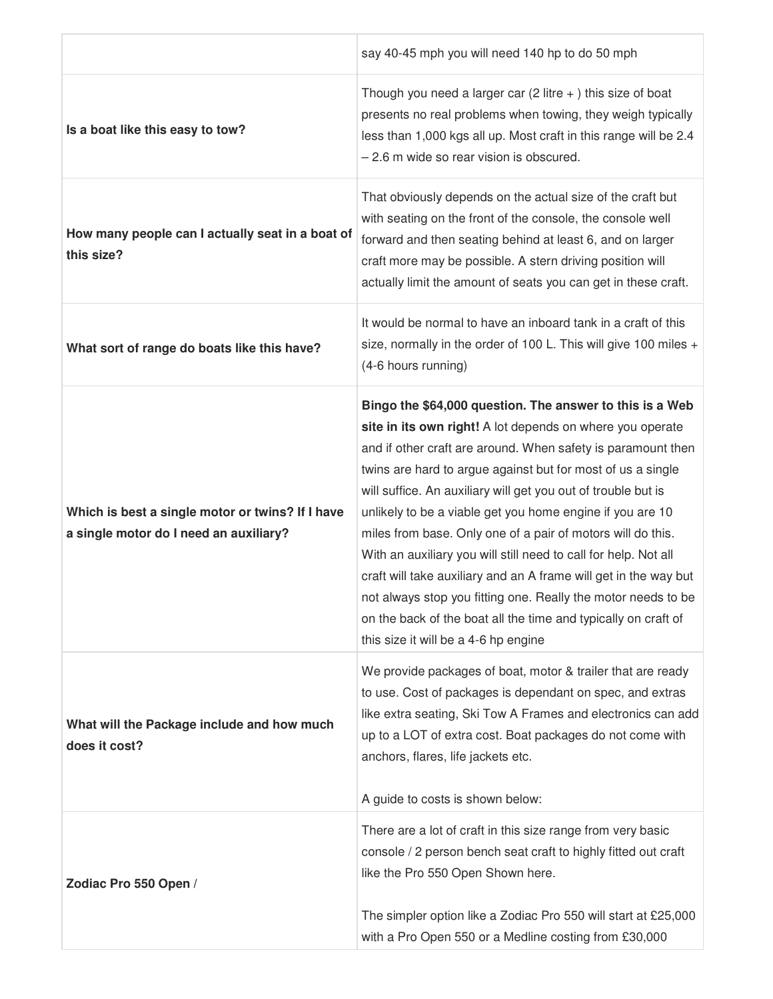|                                                                                            | say 40-45 mph you will need 140 hp to do 50 mph                                                                                                                                                                                                                                                                                                                                                                                                                                                                                                                                                                                                                                                                                                                     |
|--------------------------------------------------------------------------------------------|---------------------------------------------------------------------------------------------------------------------------------------------------------------------------------------------------------------------------------------------------------------------------------------------------------------------------------------------------------------------------------------------------------------------------------------------------------------------------------------------------------------------------------------------------------------------------------------------------------------------------------------------------------------------------------------------------------------------------------------------------------------------|
| Is a boat like this easy to tow?                                                           | Though you need a larger car $(2$ litre $+$ ) this size of boat<br>presents no real problems when towing, they weigh typically<br>less than 1,000 kgs all up. Most craft in this range will be 2.4<br>- 2.6 m wide so rear vision is obscured.                                                                                                                                                                                                                                                                                                                                                                                                                                                                                                                      |
| How many people can I actually seat in a boat of<br>this size?                             | That obviously depends on the actual size of the craft but<br>with seating on the front of the console, the console well<br>forward and then seating behind at least 6, and on larger<br>craft more may be possible. A stern driving position will<br>actually limit the amount of seats you can get in these craft.                                                                                                                                                                                                                                                                                                                                                                                                                                                |
| What sort of range do boats like this have?                                                | It would be normal to have an inboard tank in a craft of this<br>size, normally in the order of 100 L. This will give 100 miles +<br>(4-6 hours running)                                                                                                                                                                                                                                                                                                                                                                                                                                                                                                                                                                                                            |
| Which is best a single motor or twins? If I have<br>a single motor do I need an auxiliary? | Bingo the \$64,000 question. The answer to this is a Web<br>site in its own right! A lot depends on where you operate<br>and if other craft are around. When safety is paramount then<br>twins are hard to argue against but for most of us a single<br>will suffice. An auxiliary will get you out of trouble but is<br>unlikely to be a viable get you home engine if you are 10<br>miles from base. Only one of a pair of motors will do this.<br>With an auxiliary you will still need to call for help. Not all<br>craft will take auxiliary and an A frame will get in the way but<br>not always stop you fitting one. Really the motor needs to be<br>on the back of the boat all the time and typically on craft of<br>this size it will be a 4-6 hp engine |
| What will the Package include and how much<br>does it cost?                                | We provide packages of boat, motor & trailer that are ready<br>to use. Cost of packages is dependant on spec, and extras<br>like extra seating, Ski Tow A Frames and electronics can add<br>up to a LOT of extra cost. Boat packages do not come with<br>anchors, flares, life jackets etc.<br>A guide to costs is shown below:                                                                                                                                                                                                                                                                                                                                                                                                                                     |
| Zodiac Pro 550 Open /                                                                      | There are a lot of craft in this size range from very basic<br>console / 2 person bench seat craft to highly fitted out craft<br>like the Pro 550 Open Shown here.<br>The simpler option like a Zodiac Pro 550 will start at £25,000<br>with a Pro Open 550 or a Medline costing from £30,000                                                                                                                                                                                                                                                                                                                                                                                                                                                                       |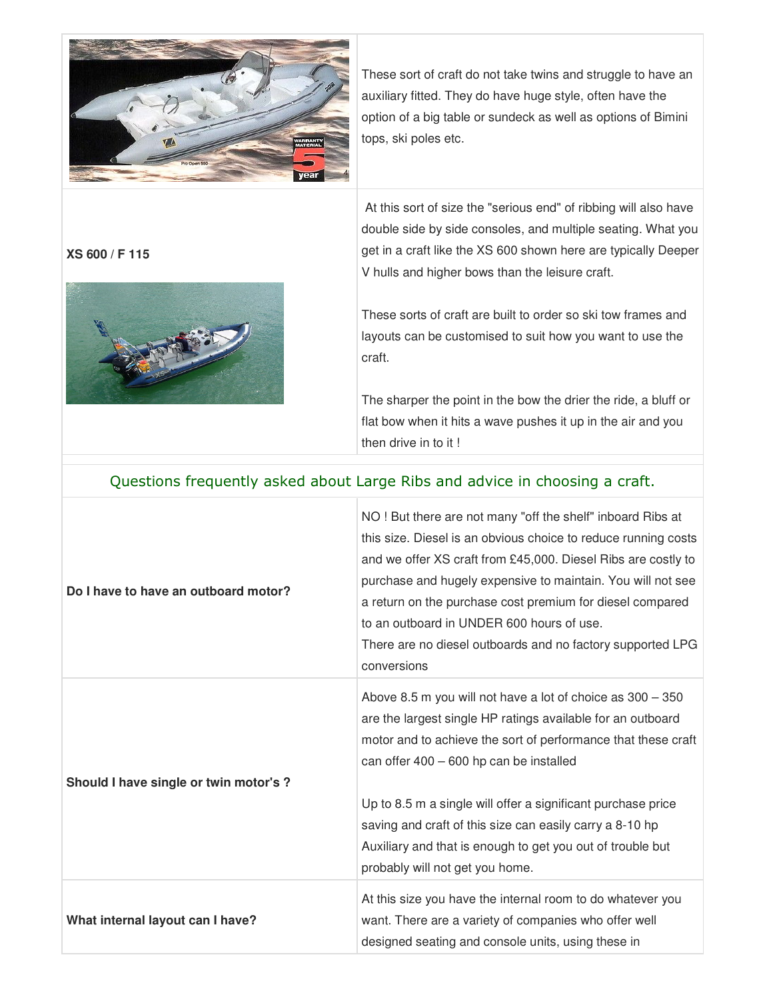

These sort of craft do not take twins and struggle to have an auxiliary fitted. They do have huge style, often have the option of a big table or sundeck as well as options of Bimini tops, ski poles etc.

**XS 600 / F 115** 



 At this sort of size the "serious end" of ribbing will also have double side by side consoles, and multiple seating. What you get in a craft like the XS 600 shown here are typically Deeper V hulls and higher bows than the leisure craft.

These sorts of craft are built to order so ski tow frames and layouts can be customised to suit how you want to use the craft.

The sharper the point in the bow the drier the ride, a bluff or flat bow when it hits a wave pushes it up in the air and you then drive in to it !

| Questions frequently asked about Large Ribs and advice in choosing a craft. |                                                                                                                                                                                                                                                                                                                                                                                                                                                                    |
|-----------------------------------------------------------------------------|--------------------------------------------------------------------------------------------------------------------------------------------------------------------------------------------------------------------------------------------------------------------------------------------------------------------------------------------------------------------------------------------------------------------------------------------------------------------|
| Do I have to have an outboard motor?                                        | NO! But there are not many "off the shelf" inboard Ribs at<br>this size. Diesel is an obvious choice to reduce running costs<br>and we offer XS craft from £45,000. Diesel Ribs are costly to<br>purchase and hugely expensive to maintain. You will not see<br>a return on the purchase cost premium for diesel compared<br>to an outboard in UNDER 600 hours of use.<br>There are no diesel outboards and no factory supported LPG<br>conversions                |
| Should I have single or twin motor's ?                                      | Above 8.5 m you will not have a lot of choice as 300 - 350<br>are the largest single HP ratings available for an outboard<br>motor and to achieve the sort of performance that these craft<br>can offer 400 - 600 hp can be installed<br>Up to 8.5 m a single will offer a significant purchase price<br>saving and craft of this size can easily carry a 8-10 hp<br>Auxiliary and that is enough to get you out of trouble but<br>probably will not get you home. |
| What internal layout can I have?                                            | At this size you have the internal room to do whatever you<br>want. There are a variety of companies who offer well<br>designed seating and console units, using these in                                                                                                                                                                                                                                                                                          |